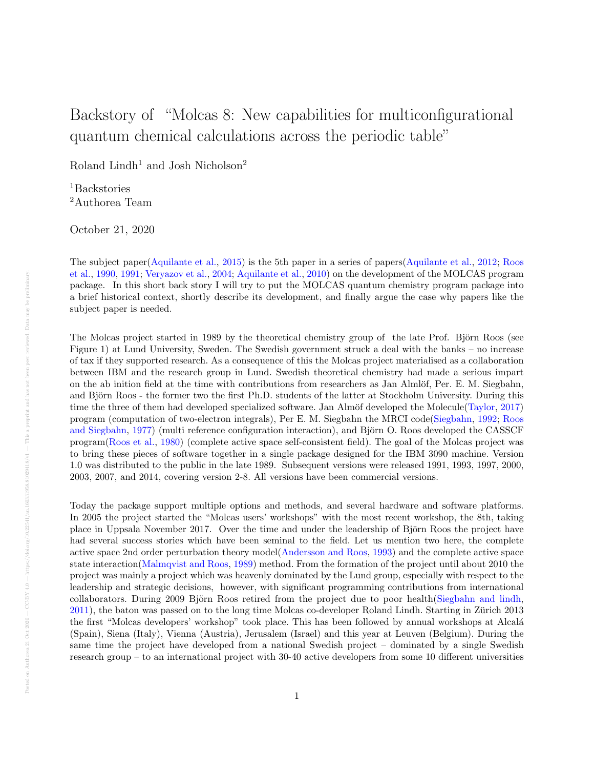## Backstory of "Molcas 8: New capabilities for multiconfigurational quantum chemical calculations across the periodic table"

Roland Lindh $^1$  and Josh Nicholson  $^2$ 

<sup>1</sup>Backstories <sup>2</sup>Authorea Team

October 21, 2020

The subject paper[\(Aquilante et al.,](#page-2-0) [2015\)](#page-2-0) is the 5th paper in a series of papers[\(Aquilante et al.,](#page-2-1) [2012;](#page-2-1) [Roos](#page-3-0) [et al.,](#page-3-0) [1990,](#page-3-0) [1991;](#page-3-1) [Veryazov et al.,](#page-3-2) [2004;](#page-3-2) [Aquilante et al.,](#page-2-2) [2010\)](#page-2-2) on the development of the MOLCAS program package. In this short back story I will try to put the MOLCAS quantum chemistry program package into a brief historical context, shortly describe its development, and finally argue the case why papers like the subject paper is needed.

The Molcas project started in 1989 by the theoretical chemistry group of the late Prof. Björn Roos (see Figure 1) at Lund University, Sweden. The Swedish government struck a deal with the banks – no increase of tax if they supported research. As a consequence of this the Molcas project materialised as a collaboration between IBM and the research group in Lund. Swedish theoretical chemistry had made a serious impart on the ab inition field at the time with contributions from researchers as Jan Almlöf, Per. E. M. Siegbahn, and Björn Roos - the former two the first Ph.D. students of the latter at Stockholm University. During this time the three of them had developed specialized software. Jan Almöf developed the Molecule[\(Taylor,](#page-3-3) [2017\)](#page-3-3) program (computation of two-electron integrals), Per E. M. Siegbahn the MRCI code[\(Siegbahn,](#page-3-4) [1992;](#page-3-4) [Roos](#page-3-5) [and Siegbahn,](#page-3-5) [1977\)](#page-3-5) (multi reference configuration interaction), and Björn O. Roos developed the CASSCF program[\(Roos et al.,](#page-3-6) [1980\)](#page-3-6) (complete active space self-consistent field). The goal of the Molcas project was to bring these pieces of software together in a single package designed for the IBM 3090 machine. Version 1.0 was distributed to the public in the late 1989. Subsequent versions were released 1991, 1993, 1997, 2000, 2003, 2007, and 2014, covering version 2-8. All versions have been commercial versions.

Today the package support multiple options and methods, and several hardware and software platforms. In 2005 the project started the "Molcas users' workshops" with the most recent workshop, the 8th, taking place in Uppsala November 2017. Over the time and under the leadership of Björn Roos the project have had several success stories which have been seminal to the field. Let us mention two here, the complete active space 2nd order perturbation theory model[\(Andersson and Roos,](#page-2-3) [1993\)](#page-2-3) and the complete active space state interaction[\(Malmqvist and Roos,](#page-3-7) [1989\)](#page-3-7) method. From the formation of the project until about 2010 the project was mainly a project which was heavenly dominated by the Lund group, especially with respect to the leadership and strategic decisions, however, with significant programming contributions from international collaborators. During 2009 Björn Roos retired from the project due to poor health[\(Siegbahn and lindh,](#page-3-8) [2011\)](#page-3-8), the baton was passed on to the long time Molcas co-developer Roland Lindh. Starting in Zurich 2013 ¨ the first "Molcas developers' workshop" took place. This has been followed by annual workshops at Alcal´a (Spain), Siena (Italy), Vienna (Austria), Jerusalem (Israel) and this year at Leuven (Belgium). During the same time the project have developed from a national Swedish project – dominated by a single Swedish research group – to an international project with 30-40 active developers from some 10 different universities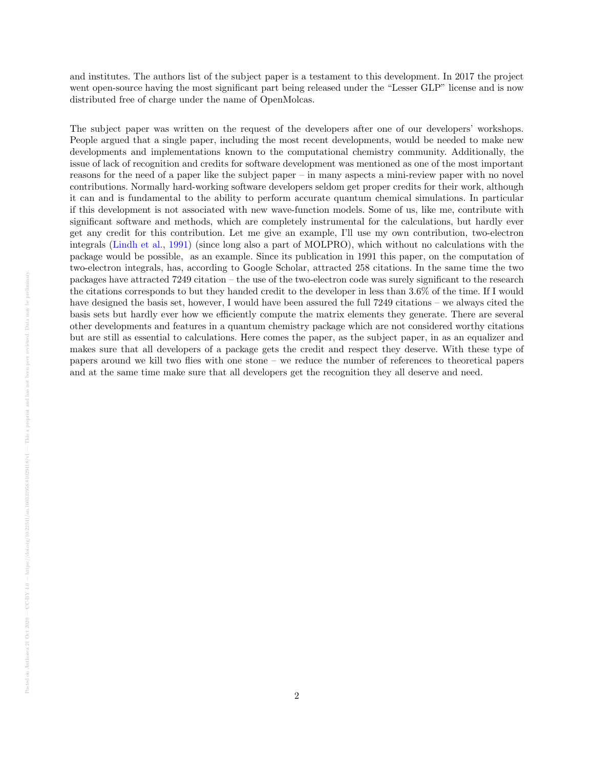and institutes. The authors list of the subject paper is a testament to this development. In 2017 the project went open-source having the most significant part being released under the "Lesser GLP" license and is now distributed free of charge under the name of OpenMolcas.

The subject paper was written on the request of the developers after one of our developers' workshops. People argued that a single paper, including the most recent developments, would be needed to make new developments and implementations known to the computational chemistry community. Additionally, the issue of lack of recognition and credits for software development was mentioned as one of the most important reasons for the need of a paper like the subject paper – in many aspects a mini-review paper with no novel contributions. Normally hard-working software developers seldom get proper credits for their work, although it can and is fundamental to the ability to perform accurate quantum chemical simulations. In particular if this development is not associated with new wave-function models. Some of us, like me, contribute with significant software and methods, which are completely instrumental for the calculations, but hardly ever get any credit for this contribution. Let me give an example, I'll use my own contribution, two-electron integrals [\(Lindh et al.,](#page-3-9) [1991\)](#page-3-9) (since long also a part of MOLPRO), which without no calculations with the package would be possible, as an example. Since its publication in 1991 this paper, on the computation of two-electron integrals, has, according to Google Scholar, attracted 258 citations. In the same time the two packages have attracted 7249 citation – the use of the two-electron code was surely significant to the research the citations corresponds to but they handed credit to the developer in less than 3.6% of the time. If I would have designed the basis set, however, I would have been assured the full 7249 citations – we always cited the basis sets but hardly ever how we efficiently compute the matrix elements they generate. There are several other developments and features in a quantum chemistry package which are not considered worthy citations but are still as essential to calculations. Here comes the paper, as the subject paper, in as an equalizer and makes sure that all developers of a package gets the credit and respect they deserve. With these type of papers around we kill two flies with one stone – we reduce the number of references to theoretical papers and at the same time make sure that all developers get the recognition they all deserve and need.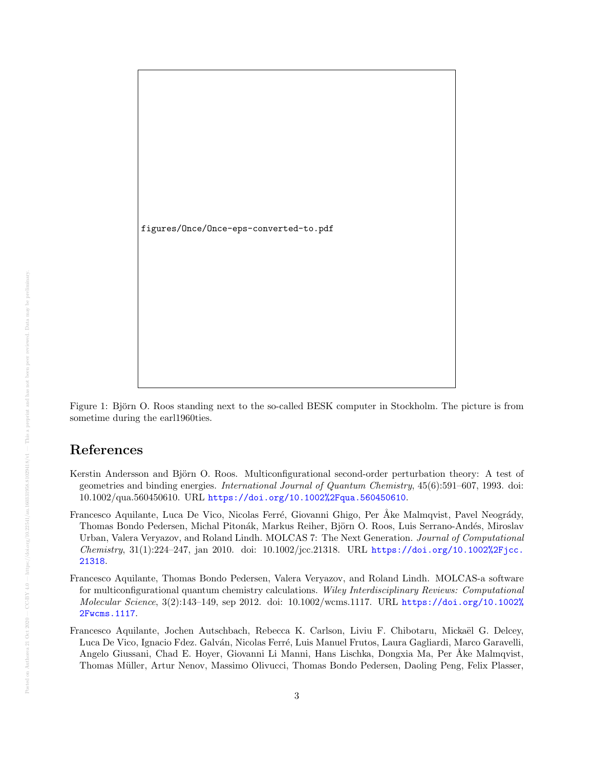

Figure 1: Björn O. Roos standing next to the so-called BESK computer in Stockholm. The picture is from sometime during the earl1960ties.

## References

- <span id="page-2-3"></span>Kerstin Andersson and Björn O. Roos. Multiconfigurational second-order perturbation theory: A test of geometries and binding energies. International Journal of Quantum Chemistry, 45(6):591–607, 1993. doi: 10.1002/qua.560450610. URL <https://doi.org/10.1002%2Fqua.560450610>.
- <span id="page-2-2"></span>Francesco Aquilante, Luca De Vico, Nicolas Ferré, Giovanni Ghigo, Per Åke Malmqvist, Pavel Neogrády, Thomas Bondo Pedersen, Michal Pitonák, Markus Reiher, Björn O. Roos, Luis Serrano-Andés, Miroslav Urban, Valera Veryazov, and Roland Lindh. MOLCAS 7: The Next Generation. Journal of Computational Chemistry, 31(1):224–247, jan 2010. doi: 10.1002/jcc.21318. URL [https://doi.org/10.1002%2Fjcc.](https://doi.org/10.1002%2Fjcc.21318) [21318](https://doi.org/10.1002%2Fjcc.21318).
- <span id="page-2-1"></span>Francesco Aquilante, Thomas Bondo Pedersen, Valera Veryazov, and Roland Lindh. MOLCAS-a software for multiconfigurational quantum chemistry calculations. Wiley Interdisciplinary Reviews: Computational Molecular Science, 3(2):143–149, sep 2012. doi: 10.1002/wcms.1117. URL [https://doi.org/10.1002%](https://doi.org/10.1002%2Fwcms.1117) [2Fwcms.1117](https://doi.org/10.1002%2Fwcms.1117).
- <span id="page-2-0"></span>Francesco Aquilante, Jochen Autschbach, Rebecca K. Carlson, Liviu F. Chibotaru, Mickaël G. Delcey, Luca De Vico, Ignacio Fdez. Galván, Nicolas Ferré, Luis Manuel Frutos, Laura Gagliardi, Marco Garavelli, Angelo Giussani, Chad E. Hoyer, Giovanni Li Manni, Hans Lischka, Dongxia Ma, Per Åke Malmqvist, Thomas M¨uller, Artur Nenov, Massimo Olivucci, Thomas Bondo Pedersen, Daoling Peng, Felix Plasser,